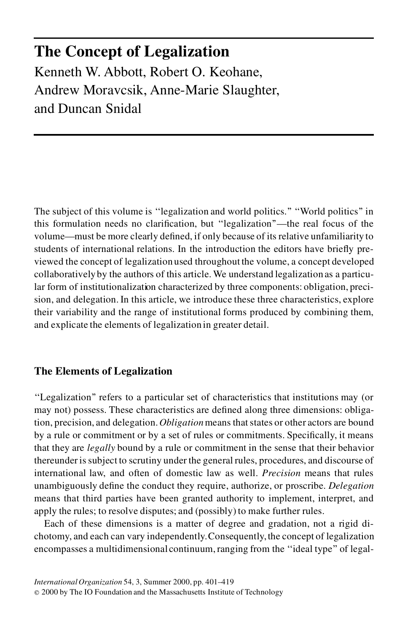# **The Concept of Legalization** Kenneth W. Abbott, Robert O. Keohane, Andrew Moravcsik, Anne-Marie Slaughter, and Duncan Snidal

The subject of this volume is ''legalization and world politics.'' ''World politics'' in this formulation needs no clarification, but "legalization"—the real focus of the volume—must be more clearly defined, if only because of its relative unfamiliarity to students of international relations. In the introduction the editors have briefly previewed the concept of legalization used throughout the volume, a concept developed collaboratively by the authors of this article. We understand legalization as a particular form of institutionalization characterized by three components: obligation, precision, and delegation. In this article, we introduce these three characteristics, explore their variability and the range of institutional forms produced by combining them, and explicate the elements of legalization in greater detail.

# **The Elements of Legalization**

''Legalization'' refers to a particular set of characteristics that institutions may (or may not) possess. These characteristics are defined along three dimensions: obligation, precision, and delegation. *Obligation* means that states or other actors are bound by a rule or commitment or by a set of rules or commitments. Specifically, it means that they are *legally* bound by a rule or commitment in the sense that their behavior thereunderissubject to scrutiny under the general rules, procedures, and discourse of international law, and often of domestic law as well. *Precision* means that rules unambiguously define the conduct they require, authorize, or proscribe. *Delegation* means that third parties have been granted authority to implement, interpret, and apply the rules; to resolve disputes; and (possibly) to make further rules.

Each of these dimensions is a matter of degree and gradation, not a rigid dichotomy, and each can vary independently.Consequently,the concept of legalization encompasses a multidimensional continuum,ranging from the ''ideal type'' of legal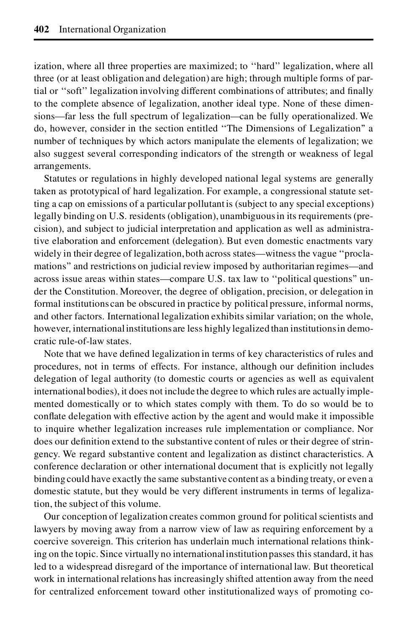ization, where all three properties are maximized; to ''hard'' legalization, where all three (or at least obligation and delegation) are high; through multiple forms of partial or "soft" legalization involving different combinations of attributes; and finally to the complete absence of legalization, another ideal type. None of these dimensions—far less the full spectrum of legalization—can be fully operationalized. We do, however, consider in the section entitled ''The Dimensions of Legalization'' a number of techniques by which actors manipulate the elements of legalization; we also suggest several corresponding indicators of the strength or weakness of legal arrangements.

Statutes or regulations in highly developed national legal systems are generally taken as prototypical of hard legalization. For example, a congressional statute setting a cap on emissions of a particular pollutant is (subject to any special exceptions) legally binding on U.S. residents (obligation), unambiguousin its requirements (precision), and subject to judicial interpretation and application as well as administrative elaboration and enforcement (delegation). But even domestic enactments vary widely in their degree of legalization, both across states—witness the vague "proclamations'' and restrictions on judicial review imposed by authoritarian regimes—and across issue areas within states—compare U.S. tax law to ''political questions'' under the Constitution. Moreover, the degree of obligation, precision, or delegation in formal institutions can be obscured in practice by political pressure, informal norms, and other factors. International legalization exhibits similar variation; on the whole, however, internationalinstitutions are less highly legalized than institutionsin democratic rule-of-law states.

Note that we have defined legalization in terms of key characteristics of rules and procedures, not in terms of effects. For instance, although our definition includes delegation of legal authority (to domestic courts or agencies as well as equivalent internationalbodies), it does not include the degree to which rules are actually implemented domestically or to which states comply with them. To do so would be to conflate delegation with effective action by the agent and would make it impossible to inquire whether legalization increases rule implementation or compliance. Nor does our definition extend to the substantive content of rules or their degree of stringency. We regard substantive content and legalization as distinct characteristics. A conference declaration or other international document that is explicitly not legally binding could have exactly the same substantive content as a binding treaty, or even a domestic statute, but they would be very different instruments in terms of legalization, the subject of this volume.

Our conception of legalization creates common ground for political scientists and lawyers by moving away from a narrow view of law as requiring enforcement by a coercive sovereign. This criterion has underlain much international relations thinking on the topic. Since virtually no international institution passes this standard, it has led to a widespread disregard of the importance of international law. But theoretical work in international relations has increasingly shifted attention away from the need for centralized enforcement toward other institutionalized ways of promoting co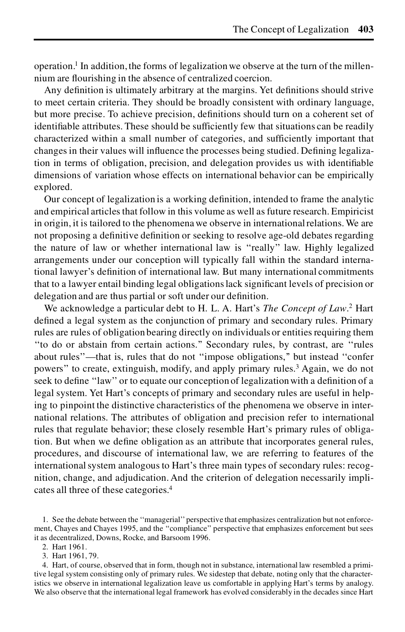operation.<sup>1</sup> In addition, the forms of legalization we observe at the turn of the millennium are flourishing in the absence of centralized coercion.

Any definition is ultimately arbitrary at the margins. Yet definitions should strive to meet certain criteria. They should be broadly consistent with ordinary language, but more precise. To achieve precision, definitions should turn on a coherent set of identifiable attributes. These should be sufficiently few that situations can be readily characterized within a small number of categories, and sufficiently important that changes in their values will influence the processes being studied. Defining legalization in terms of obligation, precision, and delegation provides us with identifiable dimensions of variation whose effects on international behavior can be empirically explored.

Our concept of legalization is a working definition, intended to frame the analytic and empirical articles that follow in this volume as well as future research. Empiricist in origin, it is tailored to the phenomena we observe in international relations. We are not proposing a definitive definition or seeking to resolve age-old debates regarding the nature of law or whether international law is "really" law. Highly legalized arrangements under our conception will typically fall within the standard international lawyer's definition of international law. But many international commitments that to a lawyer entail binding legal obligations lack significant levels of precision or delegation and are thus partial or soft under our definition.

We acknowledge a particular debt to H. L. A. Hart's *The Concept of Law*.<sup>2</sup> Hart defined a legal system as the conjunction of primary and secondary rules. Primary rules are rules of obligation bearing directly on individuals or entities requiring them ''to do or abstain from certain actions.'' Secondary rules, by contrast, are ''rules about rules''—that is, rules that do not ''impose obligations,'' but instead ''confer powers'' to create, extinguish, modify, and apply primary rules.<sup>3</sup> Again, we do not seek to define "law" or to equate our conception of legalization with a definition of a legal system. Yet Hart's concepts of primary and secondary rules are useful in helping to pinpoint the distinctive characteristics of the phenomena we observe in international relations. The attributes of obligation and precision refer to international rules that regulate behavior; these closely resemble Hart's primary rules of obligation. But when we define obligation as an attribute that incorporates general rules, procedures, and discourse of international law, we are referring to features of the international system analogous to Hart's three main types of secondary rules: recognition, change, and adjudication. And the criterion of delegation necessarily implicates all three of these categories.<sup>4</sup>

2. Hart 1961.

3. Hart 1961, 79.

4. Hart, of course, observed that in form, though not in substance, international law resembled a primitive legal system consisting only of primary rules. We sidestep that debate, noting only that the characteristics we observe in international legalization leave us comfortable in applying Hart's terms by analogy. We also observe that the international legal framework has evolved considerably in the decades since Hart

<sup>1.</sup> See the debate between the ''managerial''perspective that emphasizes centralization but not enforcement, Chayes and Chayes 1995, and the ''compliance'' perspective that emphasizes enforcement but sees it as decentralized, Downs, Rocke, and Barsoom 1996.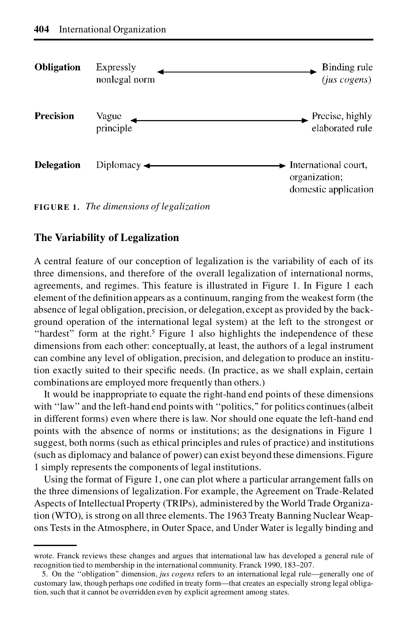

# **The Variability of Legalization**

A central feature of our conception of legalization is the variability of each of its three dimensions, and therefore of the overall legalization of international norms, agreements, and regimes. This feature is illustrated in Figure 1. In Figure 1 each element of the definition appears as a continuum, ranging from the weakest form (the absence of legal obligation, precision, or delegation, except as provided by the background operation of the international legal system) at the left to the strongest or "hardest" form at the right.<sup>5</sup> Figure 1 also highlights the independence of these dimensions from each other: conceptually, at least, the authors of a legal instrument can combine any level of obligation, precision, and delegation to produce an institution exactly suited to their specific needs. (In practice, as we shall explain, certain combinations are employed more frequently than others.)

It would be inappropriate to equate the right-hand end points of these dimensions with "law" and the left-hand end points with "politics," for politics continues (albeit in different forms) even where there is law. Nor should one equate the left-hand end points with the absence of norms or institutions; as the designations in Figure 1 suggest, both norms (such as ethical principles and rules of practice) and institutions (such as diplomacy and balance of power) can exist beyond these dimensions. Figure 1 simply represents the components of legal institutions.

Using the format of Figure 1, one can plot where a particular arrangement falls on the three dimensions of legalization. For example, the Agreement on Trade-Related Aspects of IntellectualProperty (TRIPs), administered by the World Trade Organization (WTO), is strong on all three elements.The 1963 Treaty Banning Nuclear Weapons Tests in the Atmosphere, in Outer Space, and Under Water is legally binding and

wrote. Franck reviews these changes and argues that international law has developed a general rule of recognition tied to membership in the international community. Franck 1990, 183–207.

<sup>5.</sup> On the ''obligation'' dimension, *jus cogens* refers to an international legal rule—generally one of customary law, though perhaps one codified in treaty form—that creates an especially strong legal obligation, such that it cannot be overridden even by explicit agreement among states.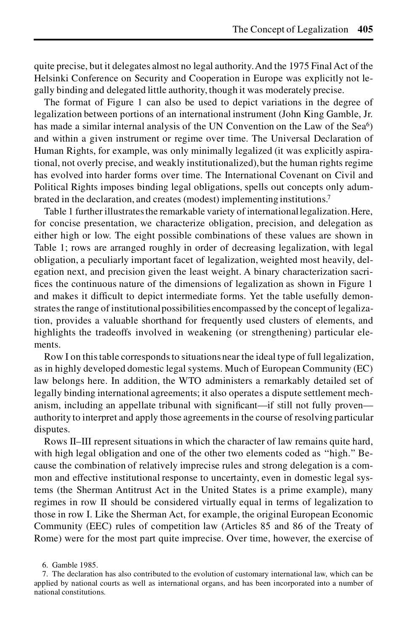quite precise, but it delegates almost no legal authority.And the 1975 FinalAct of the Helsinki Conference on Security and Cooperation in Europe was explicitly not legally binding and delegated little authority, though itwas moderately precise.

The format of Figure 1 can also be used to depict variations in the degree of legalization between portions of an international instrument (John King Gamble, Jr. has made a similar internal analysis of the UN Convention on the Law of the Sea<sup>6</sup>) and within a given instrument or regime over time. The Universal Declaration of Human Rights, for example, was only minimally legalized (it was explicitly aspirational, not overly precise, and weakly institutionalized),but the human rights regime has evolved into harder forms over time. The International Covenant on Civil and Political Rights imposes binding legal obligations, spells out concepts only adumbrated in the declaration, and creates (modest) implementing institutions.<sup>7</sup>

Table 1 further illustrates the remarkable variety of international legalization. Here, for concise presentation, we characterize obligation, precision, and delegation as either high or low. The eight possible combinations of these values are shown in Table 1; rows are arranged roughly in order of decreasing legalization, with legal obligation, a peculiarly important facet of legalization, weighted most heavily, delegation next, and precision given the least weight. A binary characterization sacri fices the continuous nature of the dimensions of legalization as shown in Figure 1 and makes it difficult to depict intermediate forms. Yet the table usefully demonstrates the range of institutional possibilities encompassed by the concept of legalization, provides a valuable shorthand for frequently used clusters of elements, and highlights the tradeoffs involved in weakening (or strengthening) particular elements.

Row I on this table corresponds to situations near the ideal type of full legalization, as in highly developed domestic legal systems. Much of European Community (EC) law belongs here. In addition, the WTO administers a remarkably detailed set of legally binding international agreements; it also operates a dispute settlement mechanism, including an appellate tribunal with significant—if still not fully proven authority to interpret and apply those agreementsin the course of resolving particular disputes.

Rows II–III represent situations in which the character of law remains quite hard, with high legal obligation and one of the other two elements coded as ''high.'' Because the combination of relatively imprecise rules and strong delegation is a common and effective institutional response to uncertainty, even in domestic legal systems (the Sherman Antitrust Act in the United States is a prime example), many regimes in row II should be considered virtually equal in terms of legalization to those in row I. Like the Sherman Act, for example, the original European Economic Community (EEC) rules of competition law (Articles 85 and 86 of the Treaty of Rome) were for the most part quite imprecise. Over time, however, the exercise of

<sup>6.</sup> Gamble 1985.

<sup>7.</sup> The declaration has also contributed to the evolution of customary international law, which can be applied by national courts as well as international organs, and has been incorporated into a number of national constitutions.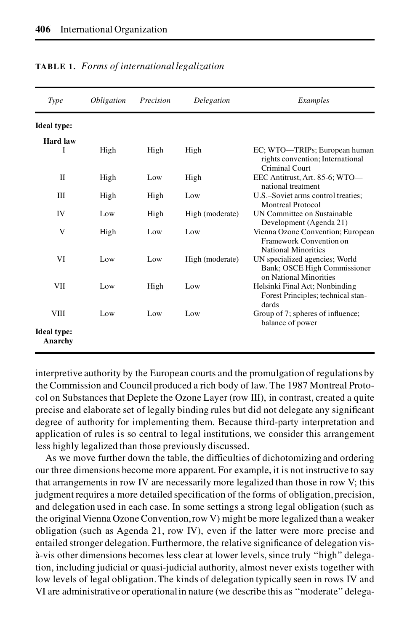| <b>Type</b>                   | <i><b>Obligation</b></i> | Precision | Delegation      | Examples                                                                                   |
|-------------------------------|--------------------------|-----------|-----------------|--------------------------------------------------------------------------------------------|
| <b>Ideal</b> type:            |                          |           |                 |                                                                                            |
| <b>Hard law</b>               |                          |           |                 |                                                                                            |
| I                             | High                     | High      | High            | EC; WTO—TRIPs; European human<br>rights convention; International<br>Criminal Court        |
| П                             | High                     | Low       | High            | EEC Antitrust, Art. 85-6; WTO-<br>national treatment                                       |
| Ш                             | High                     | High      | Low             | U.S.-Soviet arms control treaties;<br><b>Montreal Protocol</b>                             |
| IV                            | Low                      | High      | High (moderate) | <b>UN Committee on Sustainable</b><br>Development (Agenda 21)                              |
| V                             | High                     | Low       | Low             | Vienna Ozone Convention; European<br>Framework Convention on<br><b>National Minorities</b> |
| VI                            | Low                      | Low       | High (moderate) | UN specialized agencies; World<br>Bank; OSCE High Commissioner<br>on National Minorities   |
| VII                           | Low                      | High      | Low             | Helsinki Final Act; Nonbinding<br>Forest Principles; technical stan-<br>dards              |
| VШ                            | Low                      | Low       | Low             | Group of 7; spheres of influence;<br>balance of power                                      |
| <b>Ideal type:</b><br>Anarchy |                          |           |                 |                                                                                            |

**TABLE 1.***Forms of international legalization*

interpretive authority by the European courts and the promulgation of regulations by the Commission and Council produced a rich body of law. The 1987 Montreal Protocol on Substancesthat Deplete the Ozone Layer (row III), in contrast, created a quite precise and elaborate set of legally binding rules but did not delegate any significant degree of authority for implementing them. Because third-party interpretation and application of rules is so central to legal institutions, we consider this arrangement less highly legalized than those previously discussed.

As we move further down the table, the difficulties of dichotomizing and ordering our three dimensions become more apparent. For example, it is not instructive to say that arrangements in row IV are necessarily more legalized than those in row V; this judgment requires a more detailed specification of the forms of obligation, precision, and delegation used in each case. In some settings a strong legal obligation (such as the original Vienna Ozone Convention, row V) might be more legalized than a weaker obligation (such as Agenda 21, row IV), even if the latter were more precise and entailed stronger delegation. Furthermore, the relative significance of delegation visa`-vis other dimensions becomes less clear at lower levels, since truly ''high'' delegation, including judicial or quasi-judicial authority, almost never exists together with low levels of legal obligation.The kinds of delegation typically seen in rows IV and VI are administrativeor operationalin nature (we describe this as''moderate''delega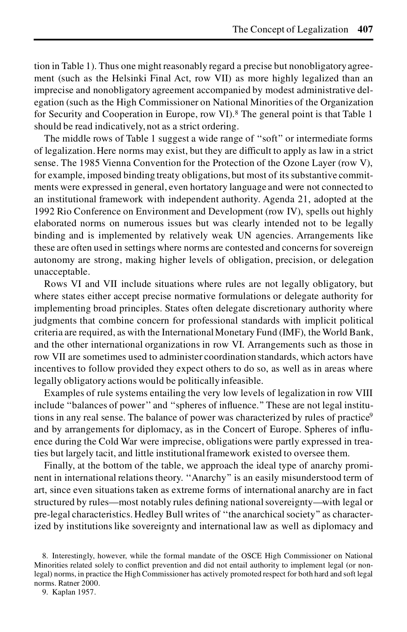tion in Table 1). Thus one might reasonably regard a precise but nonobligatoryagreement (such as the Helsinki Final Act, row VII) as more highly legalized than an imprecise and nonobligatory agreement accompanied by modest administrative delegation (such as the High Commissioner on National Minorities of the Organization for Security and Cooperation in Europe, row VI).<sup>8</sup> The general point is that Table 1 should be read indicatively, not as a strict ordering.

The middle rows of Table 1 suggest a wide range of ''soft'' or intermediate forms of legalization.Here norms may exist, but they are difficult to apply as law in a strict sense. The 1985 Vienna Convention for the Protection of the Ozone Layer (row V), for example, imposed binding treaty obligations, but most of its substantive commitments were expressed in general, even hortatory language and were not connected to an institutional framework with independent authority. Agenda 21, adopted at the 1992 Rio Conference on Environment and Development (row IV), spells out highly elaborated norms on numerous issues but was clearly intended not to be legally binding and is implemented by relatively weak UN agencies. Arrangements like these are often used in settings where norms are contested and concernsfor sovereign autonomy are strong, making higher levels of obligation, precision, or delegation unacceptable.

Rows VI and VII include situations where rules are not legally obligatory, but where states either accept precise normative formulations or delegate authority for implementing broad principles. States often delegate discretionary authority where judgments that combine concern for professional standards with implicit political criteria are required, as with the InternationalMonetary Fund (IMF), the World Bank, and the other international organizations in row VI. Arrangements such as those in row VII are sometimes used to administer coordination standards, which actors have incentives to follow provided they expect others to do so, as well as in areas where legally obligatory actions would be politically infeasible.

Examples of rule systems entailing the very low levels of legalization in row VIII include "balances of power" and "spheres of influence." These are not legal institutions in any real sense. The balance of power was characterized by rules of practice<sup>9</sup> and by arrangements for diplomacy, as in the Concert of Europe. Spheres of influence during the Cold War were imprecise, obligations were partly expressed in treaties but largely tacit, and little institutionalframework existed to oversee them.

Finally, at the bottom of the table, we approach the ideal type of anarchy prominent in international relations theory. "Anarchy" is an easily misunderstood term of art, since even situationstaken as extreme forms of international anarchy are in fact structured by rules—most notably rules defining national sovereignty—with legal or pre-legal characteristics. Hedley Bull writes of "the anarchical society" as characterized by institutions like sovereignty and international law as well as diplomacy and

<sup>8.</sup> Interestingly, however, while the formal mandate of the OSCE High Commissioner on National Minorities related solely to conflict prevention and did not entail authority to implement legal (or nonlegal) norms, in practice the High Commissioner has actively promoted respect for both hard and soft legal norms. Ratner 2000.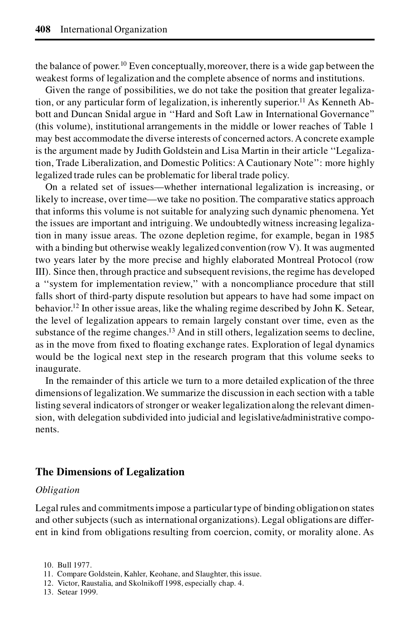the balance of power.<sup>10</sup> Even conceptually, moreover, there is a wide gap between the weakest forms of legalization and the complete absence of norms and institutions.

Given the range of possibilities, we do not take the position that greater legalization, or any particular form of legalization, is inherently superior.<sup>11</sup> As Kenneth Abbott and Duncan Snidal argue in ''Hard and Soft Law in International Governance'' (this volume), institutional arrangements in the middle or lower reaches of Table 1 may best accommodate the diverse interests of concerned actors. A concrete example is the argument made by Judith Goldstein and Lisa Martin in their article ''Legalization, Trade Liberalization, and Domestic Politics: A Cautionary Note'': more highly legalized trade rules can be problematic for liberal trade policy.

On a related set of issues—whether international legalization is increasing, or likely to increase, over time—we take no position. The comparative statics approach that informs this volume is not suitable for analyzing such dynamic phenomena. Yet the issues are important and intriguing.We undoubtedly witness increasing legalization in many issue areas. The ozone depletion regime, for example, began in 1985 with a binding but otherwise weakly legalized convention (row  $V$ ). It was augmented two years later by the more precise and highly elaborated Montreal Protocol (row III). Since then, through practice and subsequent revisions, the regime has developed a ''system for implementation review,'' with a noncompliance procedure that still falls short of third-party dispute resolution but appears to have had some impact on behavior.<sup>12</sup> In other issue areas, like the whaling regime described by John K. Setear, the level of legalization appears to remain largely constant over time, even as the substance of the regime changes.<sup>13</sup> And in still others, legalization seems to decline, as in the move from fixed to floating exchange rates. Exploration of legal dynamics would be the logical next step in the research program that this volume seeks to inaugurate.

In the remainder of this article we turn to a more detailed explication of the three dimensions of legalization.We summarize the discussion in each section with a table listing several indicators of stronger or weaker legalizationalong the relevant dimension, with delegation subdivided into judicial and legislative/administrative components.

# **The Dimensions of Legalization**

### *Obligation*

Legal rules and commitmentsimpose a particulartype of binding obligationon states and other subjects(such as international organizations). Legal obligations are different in kind from obligations resulting from coercion, comity, or morality alone. As

13. Setear 1999.

<sup>10.</sup> Bull 1977.

<sup>11.</sup> Compare Goldstein, Kahler, Keohane, and Slaughter, this issue.

<sup>12.</sup> Victor, Raustalia, and Skolnikoff 1998, especially chap. 4.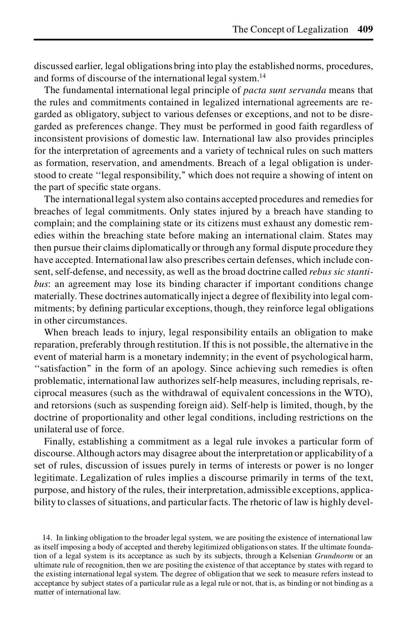discussed earlier, legal obligations bring into play the established norms, procedures, and forms of discourse of the international legal system.<sup>14</sup>

The fundamental international legal principle of *pacta sunt servanda* means that the rules and commitments contained in legalized international agreements are regarded as obligatory, subject to various defenses or exceptions, and not to be disregarded as preferences change. They must be performed in good faith regardless of inconsistent provisions of domestic law. International law also provides principles for the interpretation of agreements and a variety of technical rules on such matters as formation, reservation, and amendments. Breach of a legal obligation is understood to create ''legal responsibility,'' which does not require a showing of intent on the part of specific state organs.

The internationallegalsystem also contains accepted procedures and remedies for breaches of legal commitments. Only states injured by a breach have standing to complain; and the complaining state or its citizens must exhaust any domestic remedies within the breaching state before making an international claim. States may then pursue their claims diplomatically or through any formal dispute procedure they have accepted. Internationallaw also prescribes certain defenses, which include consent,self-defense, and necessity, as well as the broad doctrine called *rebus sic stantibus*: an agreement may lose its binding character if important conditions change materially. These doctrines automatically inject a degree of flexibility into legal commitments; by defining particular exceptions, though, they reinforce legal obligations in other circumstances.

When breach leads to injury, legal responsibility entails an obligation to make reparation, preferably through restitution.If this is not possible, the alternative in the event of material harm is a monetary indemnity; in the event of psychological harm, ''satisfaction'' in the form of an apology. Since achieving such remedies is often problematic, international law authorizes self-help measures, including reprisals, reciprocal measures (such as the withdrawal of equivalent concessions in the WTO), and retorsions (such as suspending foreign aid). Self-help is limited, though, by the doctrine of proportionality and other legal conditions, including restrictions on the unilateral use of force.

Finally, establishing a commitment as a legal rule invokes a particular form of discourse.Although actors may disagree about the interpretation or applicabilityof a set of rules, discussion of issues purely in terms of interests or power is no longer legitimate. Legalization of rules implies a discourse primarily in terms of the text, purpose, and history of the rules, their interpretation, admissible exceptions, applicability to classes of situations, and particular facts. The rhetoric of law is highly devel-

14. In linking obligation to the broader legal system, we are positing the existence of international law as itself imposing a body of accepted and thereby legitimized obligations on states. If the ultimate foundation of a legal system is its acceptance as such by its subjects, through a Kelsenian *Grundnorm* or an ultimate rule of recognition, then we are positing the existence of that acceptance by states with regard to the existing international legal system. The degree of obligation that we seek to measure refers instead to acceptance by subject states of a particular rule as a legal rule or not, that is, as binding or not binding as a matter of international law.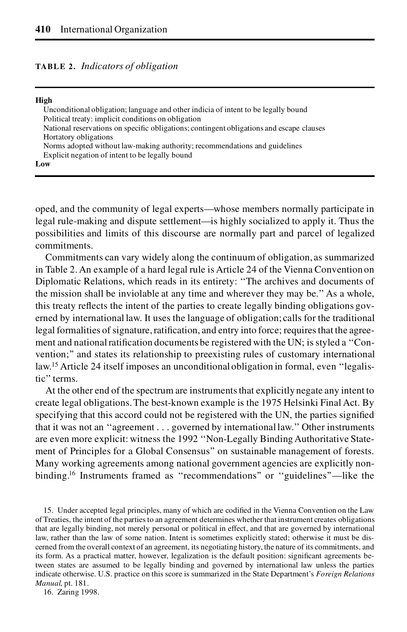### **TABLE 2.***Indicators of obligation*

#### **High**

Unconditional obligation; language and other indicia of intent to be legally bound Political treaty: implicit conditions on obligation National reservations on specific obligations; contingent obligations and escape clauses Hortatory obligations Norms adopted without law-making authority; recommendations and guidelines Explicit negation of intent to be legally bound **Low**

oped, and the community of legal experts—whose members normally participate in legal rule-making and dispute settlement—is highly socialized to apply it. Thus the possibilities and limits of this discourse are normally part and parcel of legalized commitments.

Commitments can vary widely along the continuum of obligation, as summarized in Table 2. An example of a hard legal rule is Article 24 of the Vienna Convention on Diplomatic Relations, which reads in its entirety: ''The archives and documents of the mission shall be inviolable at any time and wherever they may be.'' As a whole, this treaty reflects the intent of the parties to create legally binding obligations governed by international law. It uses the language of obligation; calls for the traditional legal formalities of signature, ratification, and entry into force; requires that the agreement and national ratification documents be registered with the UN; is styled a "Convention;'' and states its relationship to preexisting rules of customary international law.<sup>15</sup> Article 24 itself imposes an unconditional obligation in formal, even ''legalistic" terms.

At the other end of the spectrum are instruments that explicitly negate any intent to create legal obligations.The best-known example is the 1975 Helsinki Final Act. By specifying that this accord could not be registered with the UN, the parties signified that it was not an ''agreement . . . governed by international law.'' Other instruments are even more explicit: witness the 1992 ''Non-Legally Binding Authoritative Statement of Principles for a Global Consensus'' on sustainable management of forests. Many working agreements among national government agencies are explicitly nonbinding.<sup>16</sup> Instruments framed as "recommendations" or "guidelines"—like the

16. Zaring 1998.

<sup>15.</sup> Under accepted legal principles, many of which are codified in the Vienna Convention on the Law of Treaties, the intent of the partiesto an agreement determines whether that instrument creates obligations that are legally binding, not merely personal or political in effect, and that are governed by international law, rather than the law of some nation. Intent is sometimes explicitly stated; otherwise it must be discerned from the overall context of an agreement, its negotiating history, the nature of its commitments, and its form. As a practical matter, however, legalization is the default position: significant agreements between states are assumed to be legally binding and governed by international law unless the parties indicate otherwise. U.S. practice on this score is summarized in the State Department's *Foreign Relations Manual*, pt. 181.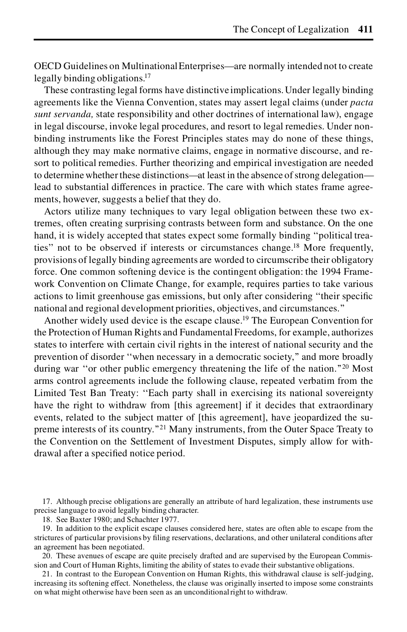OECD Guidelines on MultinationalEnterprises—are normally intended not to create legally binding obligations.<sup>17</sup>

These contrasting legal forms have distinctive implications.Under legally binding agreements like the Vienna Convention,states may assert legal claims (under *pacta sunt servanda,* state responsibility and other doctrines of international law), engage in legal discourse, invoke legal procedures, and resort to legal remedies. Under nonbinding instruments like the Forest Principles states may do none of these things, although they may make normative claims, engage in normative discourse, and resort to political remedies. Further theorizing and empirical investigation are needed to determine whether these distinctions—at least in the absence of strong delegation lead to substantial differences in practice. The care with which states frame agreements, however, suggests a belief that they do.

Actors utilize many techniques to vary legal obligation between these two extremes, often creating surprising contrasts between form and substance. On the one hand, it is widely accepted that states expect some formally binding ''political treaties'' not to be observed if interests or circumstances change.<sup>18</sup> More frequently, provisions of legally binding agreements are worded to circumscribe their obligatory force. One common softening device is the contingent obligation: the 1994 Framework Convention on Climate Change, for example, requires parties to take various actions to limit greenhouse gas emissions, but only after considering "their specific national and regional development priorities, objectives, and circumstances.''

Another widely used device is the escape clause.<sup>19</sup> The European Convention for the Protection of Human Rights and Fundamental Freedoms, for example, authorizes states to interfere with certain civil rights in the interest of national security and the prevention of disorder ''when necessary in a democratic society,'' and more broadly during war "or other public emergency threatening the life of the nation."<sup>20</sup> Most arms control agreements include the following clause, repeated verbatim from the Limited Test Ban Treaty: ''Each party shall in exercising its national sovereignty have the right to withdraw from [this agreement] if it decides that extraordinary events, related to the subject matter of [this agreement], have jeopardized the supreme interests of its country."<sup>21</sup> Many instruments, from the Outer Space Treaty to the Convention on the Settlement of Investment Disputes, simply allow for withdrawal after a specified notice period.

20. These avenues of escape are quite precisely drafted and are supervised by the European Commission and Court of Human Rights, limiting the ability of states to evade their substantive obligations.

21. In contrast to the European Convention on Human Rights, this withdrawal clause is self-judging, increasing its softening effect. Nonetheless, the clause was originally inserted to impose some constraints on what might otherwise have been seen as an unconditionalright to withdraw.

<sup>17.</sup> Although precise obligations are generally an attribute of hard legalization, these instruments use precise language to avoid legally binding character.

<sup>18.</sup> See Baxter 1980; and Schachter 1977.

<sup>19.</sup> In addition to the explicit escape clauses considered here, states are often able to escape from the strictures of particular provisions by filing reservations, declarations, and other unilateral conditions after an agreement has been negotiated.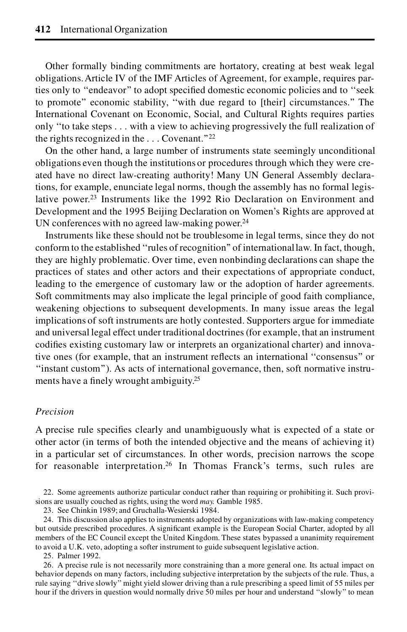Other formally binding commitments are hortatory, creating at best weak legal obligations.Article IV of the IMF Articles of Agreement, for example, requires parties only to "endeavor" to adopt specified domestic economic policies and to "seek to promote'' economic stability, ''with due regard to [their] circumstances.'' The International Covenant on Economic, Social, and Cultural Rights requires parties only ''to take steps . . . with a view to achieving progressively the full realization of the rights recognized in the  $\ldots$  Covenant."<sup>22</sup>

On the other hand, a large number of instruments state seemingly unconditional obligations even though the institutions or procedures through which they were created have no direct law-creating authority! Many UN General Assembly declarations, for example, enunciate legal norms, though the assembly has no formal legislative power.<sup>23</sup> Instruments like the 1992 Rio Declaration on Environment and Development and the 1995 Beijing Declaration on Women's Rights are approved at UN conferences with no agreed law-making power.<sup>24</sup>

Instruments like these should not be troublesome in legal terms, since they do not conform to the established ''rules of recognition'' of internationallaw. In fact, though, they are highly problematic. Over time, even nonbinding declarations can shape the practices of states and other actors and their expectations of appropriate conduct, leading to the emergence of customary law or the adoption of harder agreements. Soft commitments may also implicate the legal principle of good faith compliance, weakening objections to subsequent developments. In many issue areas the legal implications of soft instruments are hotly contested. Supporters argue for immediate and universal legal effect under traditional doctrines(for example, that an instrument codifies existing customary law or interprets an organizational charter) and innovative ones (for example, that an instrument reflects an international "consensus" or ''instant custom''). As acts of international governance, then, soft normative instruments have a finely wrought ambiguity.<sup>25</sup>

## *Precision*

A precise rule specifies clearly and unambiguously what is expected of a state or other actor (in terms of both the intended objective and the means of achieving it) in a particular set of circumstances. In other words, precision narrows the scope for reasonable interpretation.<sup>26</sup> In Thomas Franck's terms, such rules are

22. Some agreements authorize particular conduct rather than requiring or prohibiting it. Such provisions are usually couched as rights, using the word *may.* Gamble 1985.

23. See Chinkin 1989; and Gruchalla-Wesierski 1984.

24. This discussion also applies to instruments adopted by organizations with law-making competency but outside prescribed procedures. A significant example is the European Social Charter, adopted by all members of the EC Council except the United Kingdom. These states bypassed a unanimity requirement to avoid a U.K. veto, adopting a softer instrument to guide subsequent legislative action.

25. Palmer 1992.

26. A precise rule is not necessarily more constraining than a more general one. Its actual impact on behavior depends on many factors, including subjective interpretation by the subjects of the rule. Thus, a rule saying ''drive slowly''might yield slower driving than a rule prescribing a speed limit of 55 miles per hour if the drivers in question would normally drive 50 miles per hour and understand ''slowly'' to mean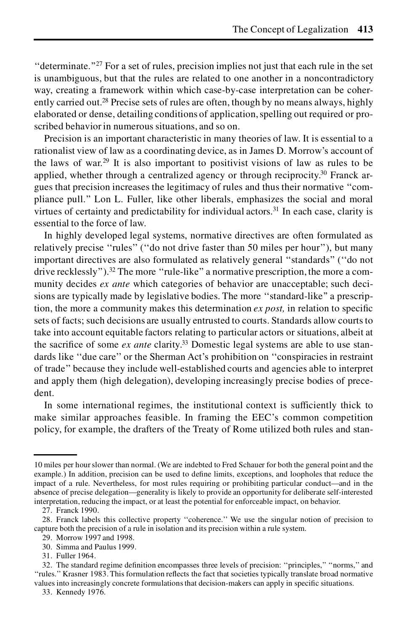"determinate."<sup>27</sup> For a set of rules, precision implies not just that each rule in the set is unambiguous, but that the rules are related to one another in a noncontradictory way, creating a framework within which case-by-case interpretation can be coherently carried out.<sup>28</sup> Precise sets of rules are often, though by no means always, highly elaborated or dense, detailing conditions of application, spelling out required or proscribed behavior in numerous situations, and so on.

Precision is an important characteristic in many theories of law. It is essential to a rationalist view of law as a coordinating device, as in James D. Morrow's account of the laws of war.<sup>29</sup> It is also important to positivist visions of law as rules to be applied, whether through a centralized agency or through reciprocity.<sup>30</sup> Franck argues that precision increases the legitimacy of rules and thus their normative ''compliance pull.'' Lon L. Fuller, like other liberals, emphasizes the social and moral virtues of certainty and predictability for individual actors.<sup>31</sup> In each case, clarity is essential to the force of law.

In highly developed legal systems, normative directives are often formulated as relatively precise ''rules'' (''do not drive faster than 50 miles per hour''), but many important directives are also formulated as relatively general ''standards'' (''do not drive recklessly").<sup>32</sup> The more "rule-like" a normative prescription, the more a community decides *ex ante* which categories of behavior are unacceptable; such decisions are typically made by legislative bodies. The more ''standard-like'' a prescription, the more a community makes this determination *ex post*, in relation to specific sets of facts; such decisions are usually entrusted to courts. Standards allow courts to take into account equitable factors relating to particular actors or situations, albeit at the sacrifice of some *ex ante* clarity.<sup>33</sup> Domestic legal systems are able to use standards like ''due care'' or the Sherman Act's prohibition on ''conspiracies in restraint of trade'' because they include well-established courts and agencies able to interpret and apply them (high delegation), developing increasingly precise bodies of precedent.

In some international regimes, the institutional context is sufficiently thick to make similar approaches feasible. In framing the EEC's common competition policy, for example, the drafters of the Treaty of Rome utilized both rules and stan-

31. Fuller 1964.

<sup>10</sup> miles per hourslower than normal. (We are indebted to Fred Schauer for both the general point and the example.) In addition, precision can be used to define limits, exceptions, and loopholes that reduce the impact of a rule. Nevertheless, for most rules requiring or prohibiting particular conduct—and in the absence of precise delegation—generality is likely to provide an opportunity for deliberate self-interested interpretation, reducing the impact, or at least the potential for enforceable impact, on behavior.

<sup>27.</sup> Franck 1990.

<sup>28.</sup> Franck labels this collective property ''coherence.'' We use the singular notion of precision to capture both the precision of a rule in isolation and its precision within a rule system.

<sup>29.</sup> Morrow 1997 and 1998.

<sup>30.</sup> Simma and Paulus 1999.

<sup>32.</sup> The standard regime definition encompasses three levels of precision: "principles," "norms," and "rules." Krasner 1983. This formulation reflects the fact that societies typically translate broad normative values into increasingly concrete formulations that decision-makers can apply in specific situations.

<sup>33.</sup> Kennedy 1976.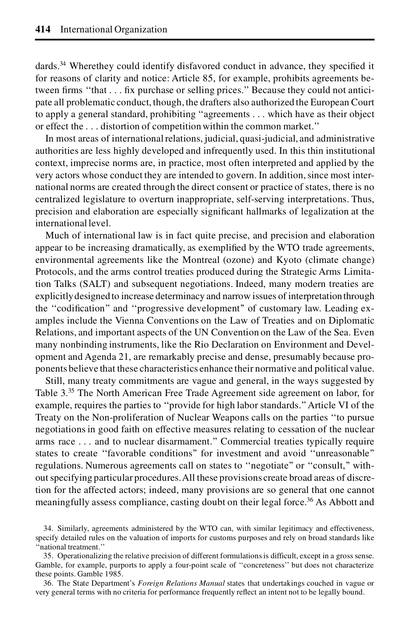dards.<sup>34</sup> Wherethey could identify disfavored conduct in advance, they specified it for reasons of clarity and notice: Article 85, for example, prohibits agreements between firms "that  $\ldots$  fix purchase or selling prices." Because they could not anticipate all problematic conduct, though, the drafters also authorized the European Court to apply a general standard, prohibiting ''agreements . . . which have as their object or effect the . . . distortion of competition within the common market.''

In most areas of international relations, judicial, quasi-judicial, and administrative authorities are less highly developed and infrequently used. In this thin institutional context, imprecise norms are, in practice, most often interpreted and applied by the very actors whose conduct they are intended to govern. In addition,since most international norms are created through the direct consent or practice of states, there is no centralized legislature to overturn inappropriate, self-serving interpretations. Thus, precision and elaboration are especially significant hallmarks of legalization at the international level.

Much of international law is in fact quite precise, and precision and elaboration appear to be increasing dramatically, as exemplified by the WTO trade agreements, environmental agreements like the Montreal (ozone) and Kyoto (climate change) Protocols, and the arms control treaties produced during the Strategic Arms Limitation Talks (SALT) and subsequent negotiations. Indeed, many modern treaties are explicitlydesigned to increase determinacy and narrow issues of interpretationthrough the "codification" and "progressive development" of customary law. Leading examples include the Vienna Conventions on the Law of Treaties and on Diplomatic Relations, and important aspects of the UN Convention on the Law of the Sea. Even many nonbinding instruments, like the Rio Declaration on Environment and Development and Agenda 21, are remarkably precise and dense, presumably because proponents believe that these characteristics enhance their normative and political value.

Still, many treaty commitments are vague and general, in the ways suggested by Table 3.<sup>35</sup> The North American Free Trade Agreement side agreement on labor, for example, requires the parties to ''provide for high labor standards.''Article VI of the Treaty on the Non-proliferation of Nuclear Weapons calls on the parties ''to pursue negotiationsin good faith on effective measures relating to cessation of the nuclear arms race .. . and to nuclear disarmament.'' Commercial treaties typically require states to create ''favorable conditions'' for investment and avoid ''unreasonable'' regulations. Numerous agreements call on states to ''negotiate'' or ''consult,'' withoutspecifying particular procedures.All these provisions create broad areas of discretion for the affected actors; indeed, many provisions are so general that one cannot meaningfully assess compliance, casting doubt on their legal force.<sup>36</sup> As Abbott and

36. The State Department's *Foreign Relations Manual* states that undertakings couched in vague or very general terms with no criteria for performance frequently reflect an intent not to be legally bound.

<sup>34.</sup> Similarly, agreements administered by the WTO can, with similar legitimacy and effectiveness, specify detailed rules on the valuation of imports for customs purposes and rely on broad standards like 'national treatment."

<sup>35.</sup> Operationalizing the relative precision of different formulationsis difficult, except in a grosssense. Gamble, for example, purports to apply a four-point scale of ''concreteness'' but does not characterize these points. Gamble 1985.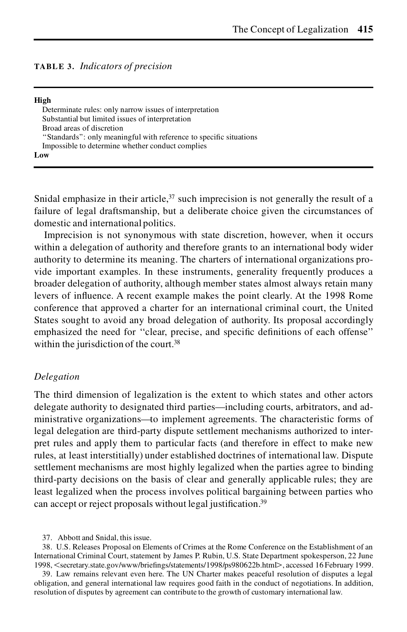**TABLE 3.***Indicators of precision*

### **High**

| -----                                                              |
|--------------------------------------------------------------------|
| Determinate rules: only narrow issues of interpretation            |
| Substantial but limited issues of interpretation                   |
| Broad areas of discretion                                          |
| "Standards": only meaningful with reference to specific situations |
| Impossible to determine whether conduct complies                   |
| Low                                                                |

Snidal emphasize in their article, $37$  such imprecision is not generally the result of a failure of legal draftsmanship, but a deliberate choice given the circumstances of domestic and international politics.

Imprecision is not synonymous with state discretion, however, when it occurs within a delegation of authority and therefore grants to an international body wider authority to determine its meaning. The charters of international organizations provide important examples. In these instruments, generality frequently produces a broader delegation of authority, although member states almost always retain many levers of influence. A recent example makes the point clearly. At the 1998 Rome conference that approved a charter for an international criminal court, the United States sought to avoid any broad delegation of authority. Its proposal accordingly emphasized the need for "clear, precise, and specific definitions of each offense" within the jurisdiction of the court.<sup>38</sup>

### *Delegation*

The third dimension of legalization is the extent to which states and other actors delegate authority to designated third parties—including courts, arbitrators, and administrative organizations—to implement agreements. The characteristic forms of legal delegation are third-party dispute settlement mechanisms authorized to interpret rules and apply them to particular facts (and therefore in effect to make new rules, at least interstitially) under established doctrines of international law. Dispute settlement mechanisms are most highly legalized when the parties agree to binding third-party decisions on the basis of clear and generally applicable rules; they are least legalized when the process involves political bargaining between parties who can accept or reject proposals without legal justification.<sup>39</sup>

38. U.S. Releases Proposal on Elements of Crimes at the Rome Conference on the Establishment of an International Criminal Court, statement by James P. Rubin, U.S. State Department spokesperson, 22 June 1998, <secretary.state.gov/www/briefings/statements/1998/ps980622b.html>, accessed 16 February 1999.

39. Law remains relevant even here. The UN Charter makes peaceful resolution of disputes a legal obligation, and general international law requires good faith in the conduct of negotiations. In addition, resolution of disputes by agreement can contribute to the growth of customary international law.

<sup>37.</sup> Abbott and Snidal, this issue.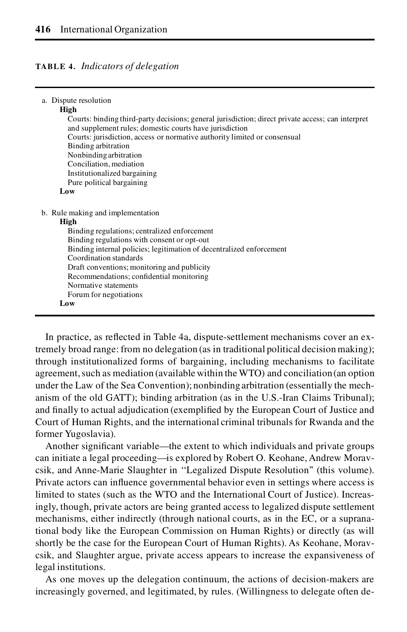### **TABLE 4.***Indicators of delegation*

| a. Dispute resolution                                                                                     |  |  |  |
|-----------------------------------------------------------------------------------------------------------|--|--|--|
| High<br>Courts: binding third-party decisions; general jurisdiction; direct private access; can interpret |  |  |  |
| and supplement rules; domestic courts have jurisdiction                                                   |  |  |  |
| Courts: jurisdiction, access or normative authority limited or consensual                                 |  |  |  |
| Binding arbitration                                                                                       |  |  |  |
| Nonbinding arbitration                                                                                    |  |  |  |
| Conciliation, mediation                                                                                   |  |  |  |
| Institutionalized bargaining                                                                              |  |  |  |
| Pure political bargaining<br>Low                                                                          |  |  |  |
|                                                                                                           |  |  |  |
| b. Rule making and implementation                                                                         |  |  |  |
| High                                                                                                      |  |  |  |
| Binding regulations; centralized enforcement                                                              |  |  |  |
| Binding regulations with consent or opt-out                                                               |  |  |  |
| Binding internal policies; legitimation of decentralized enforcement                                      |  |  |  |
| Coordination standards                                                                                    |  |  |  |
| Draft conventions; monitoring and publicity                                                               |  |  |  |
| Recommendations; confidential monitoring                                                                  |  |  |  |
| Normative statements                                                                                      |  |  |  |
| Forum for negotiations                                                                                    |  |  |  |
| Low                                                                                                       |  |  |  |

In practice, as reflected in Table 4a, dispute-settlement mechanisms cover an extremely broad range: from no delegation (as in traditional political decision making); through institutionalized forms of bargaining, including mechanisms to facilitate agreement, such as mediation (available within the WTO) and conciliation (an option under the Law of the Sea Convention); nonbinding arbitration (essentially the mechanism of the old GATT); binding arbitration (as in the U.S.-Iran Claims Tribunal); and finally to actual adjudication (exemplified by the European Court of Justice and Court of Human Rights, and the international criminal tribunals for Rwanda and the former Yugoslavia).

Another significant variable—the extent to which individuals and private groups can initiate a legal proceeding—is explored by Robert O. Keohane, Andrew Moravcsik, and Anne-Marie Slaughter in ''Legalized Dispute Resolution'' (this volume). Private actors can influence governmental behavior even in settings where access is limited to states (such as the WTO and the International Court of Justice). Increasingly, though, private actors are being granted access to legalized dispute settlement mechanisms, either indirectly (through national courts, as in the EC, or a supranational body like the European Commission on Human Rights) or directly (as will shortly be the case for the European Court of Human Rights). As Keohane, Moravcsik, and Slaughter argue, private access appears to increase the expansiveness of legal institutions.

As one moves up the delegation continuum, the actions of decision-makers are increasingly governed, and legitimated, by rules. (Willingness to delegate often de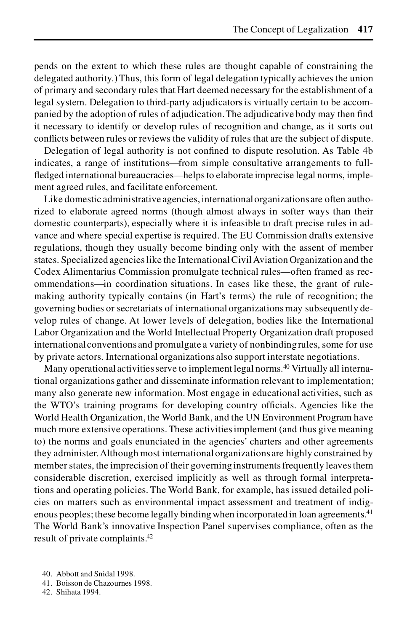pends on the extent to which these rules are thought capable of constraining the delegated authority.)Thus, this form of legal delegation typically achievesthe union of primary and secondary rules that Hart deemed necessary for the establishment of a legal system. Delegation to third-party adjudicators is virtually certain to be accompanied by the adoption of rules of adjudication. The adjudicative body may then find it necessary to identify or develop rules of recognition and change, as it sorts out conflicts between rules or reviews the validity of rules that are the subject of dispute.

Delegation of legal authority is not confined to dispute resolution. As Table 4b indicates, a range of institutions—from simple consultative arrangements to full fledged international bureaucracies—helps to elaborate imprecise legal norms, implement agreed rules, and facilitate enforcement.

Like domestic administrative agencies, international organizations are often authorized to elaborate agreed norms (though almost always in softer ways than their domestic counterparts), especially where it is infeasible to draft precise rules in advance and where special expertise is required. The EU Commission drafts extensive regulations, though they usually become binding only with the assent of member states. Specialized agencieslike the InternationalCivilAviation Organization and the Codex Alimentarius Commission promulgate technical rules—often framed as recommendations—in coordination situations. In cases like these, the grant of rulemaking authority typically contains (in Hart's terms) the rule of recognition; the governing bodies or secretariats of international organizationsmay subsequently develop rules of change. At lower levels of delegation, bodies like the International Labor Organization and the World Intellectual Property Organization draft proposed international conventions and promulgate a variety of nonbinding rules, some for use by private actors. International organizations also support interstate negotiations.

Many operational activities serve to implement legal norms.<sup>40</sup> Virtually all international organizations gather and disseminate information relevant to implementation; many also generate new information. Most engage in educational activities, such as the WTO's training programs for developing country officials. Agencies like the World Health Organization, the World Bank, and the UN Environment Program have much more extensive operations.These activitiesimplement (and thus give meaning to) the norms and goals enunciated in the agencies' charters and other agreements they administer.Although most internationalorganizations are highly constrained by member states, the imprecision of their governing instruments frequently leaves them considerable discretion, exercised implicitly as well as through formal interpretations and operating policies. The World Bank, for example, has issued detailed policies on matters such as environmental impact assessment and treatment of indigenous peoples; these become legally binding when incorporated in loan agreements.<sup>41</sup> The World Bank's innovative Inspection Panel supervises compliance, often as the result of private complaints.<sup>42</sup>

- 40. Abbott and Snidal 1998.
- 41. Boisson de Chazournes 1998.
- 42. Shihata 1994.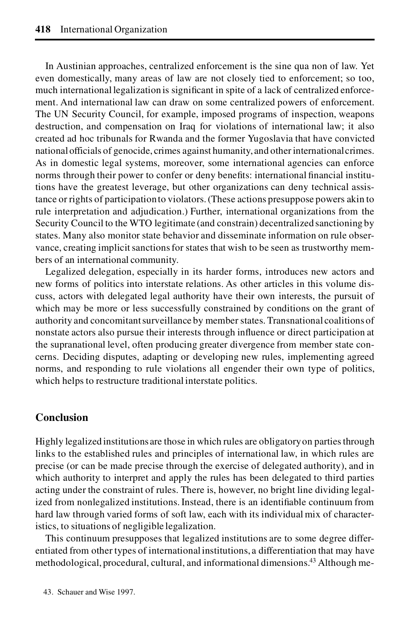In Austinian approaches, centralized enforcement is the sine qua non of law. Yet even domestically, many areas of law are not closely tied to enforcement; so too, much international legalization is significant in spite of a lack of centralized enforcement. And international law can draw on some centralized powers of enforcement. The UN Security Council, for example, imposed programs of inspection, weapons destruction, and compensation on Iraq for violations of international law; it also created ad hoc tribunals for Rwanda and the former Yugoslavia that have convicted national officials of genocide, crimes against humanity, and other international crimes. As in domestic legal systems, moreover, some international agencies can enforce norms through their power to confer or deny benefits: international financial institutions have the greatest leverage, but other organizations can deny technical assistance or rights of participationto violators.(These actions presuppose powers akin to rule interpretation and adjudication.) Further, international organizations from the Security Council to the WTO legitimate (and constrain) decentralized sanctioning by states. Many also monitor state behavior and disseminate information on rule observance, creating implicit sanctions for states that wish to be seen as trustworthy members of an international community.

Legalized delegation, especially in its harder forms, introduces new actors and new forms of politics into interstate relations. As other articles in this volume discuss, actors with delegated legal authority have their own interests, the pursuit of which may be more or less successfully constrained by conditions on the grant of authority and concomitant surveillance by member states. Transnational coalitions of nonstate actors also pursue their interests through influence or direct participation at the supranational level, often producing greater divergence from member state concerns. Deciding disputes, adapting or developing new rules, implementing agreed norms, and responding to rule violations all engender their own type of politics, which helps to restructure traditional interstate politics.

# **Conclusion**

Highly legalized institutions are those in which rules are obligatoryon partiesthrough links to the established rules and principles of international law, in which rules are precise (or can be made precise through the exercise of delegated authority), and in which authority to interpret and apply the rules has been delegated to third parties acting under the constraint of rules. There is, however, no bright line dividing legalized from nonlegalized institutions. Instead, there is an identifiable continuum from hard law through varied forms of soft law, each with its individual mix of characteristics, to situations of negligible legalization.

This continuum presupposes that legalized institutions are to some degree differentiated from other types of international institutions, a differentiation that may have methodological, procedural, cultural, and informational dimensions.<sup>43</sup> Although me